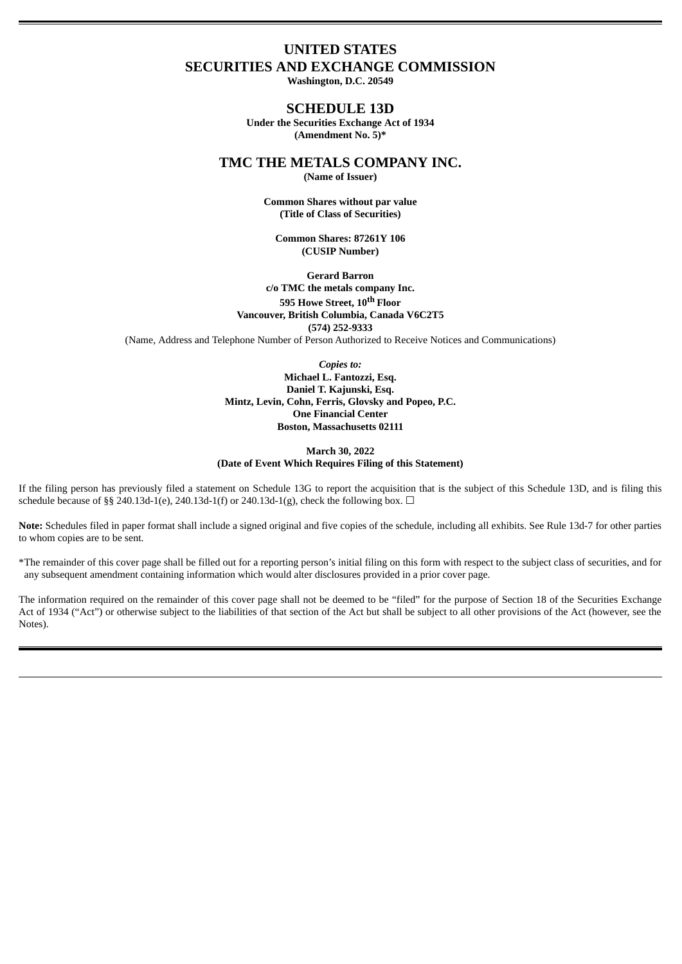# **UNITED STATES SECURITIES AND EXCHANGE COMMISSION**

**Washington, D.C. 20549**

# **SCHEDULE 13D**

**Under the Securities Exchange Act of 1934 (Amendment No. 5)\***

**TMC THE METALS COMPANY INC.**

**(Name of Issuer)**

**Common Shares without par value (Title of Class of Securities)**

**Common Shares: 87261Y 106 (CUSIP Number)**

**Gerard Barron c/o TMC the metals company Inc. 595 Howe Street, 10 th Floor Vancouver, British Columbia, Canada V6C2T5 (574) 252-9333** (Name, Address and Telephone Number of Person Authorized to Receive Notices and Communications)

*Copies to:*

**Michael L. Fantozzi, Esq. Daniel T. Kajunski, Esq. Mintz, Levin, Cohn, Ferris, Glovsky and Popeo, P.C. One Financial Center Boston, Massachusetts 02111**

# **March 30, 2022 (Date of Event Which Requires Filing of this Statement)**

If the filing person has previously filed a statement on Schedule 13G to report the acquisition that is the subject of this Schedule 13D, and is filing this schedule because of §§ 240.13d-1(e), 240.13d-1(f) or 240.13d-1(g), check the following box.  $\Box$ 

**Note:** Schedules filed in paper format shall include a signed original and five copies of the schedule, including all exhibits. See Rule 13d-7 for other parties to whom copies are to be sent.

\*The remainder of this cover page shall be filled out for a reporting person's initial filing on this form with respect to the subject class of securities, and for any subsequent amendment containing information which would alter disclosures provided in a prior cover page.

The information required on the remainder of this cover page shall not be deemed to be "filed" for the purpose of Section 18 of the Securities Exchange Act of 1934 ("Act") or otherwise subject to the liabilities of that section of the Act but shall be subject to all other provisions of the Act (however, see the Notes).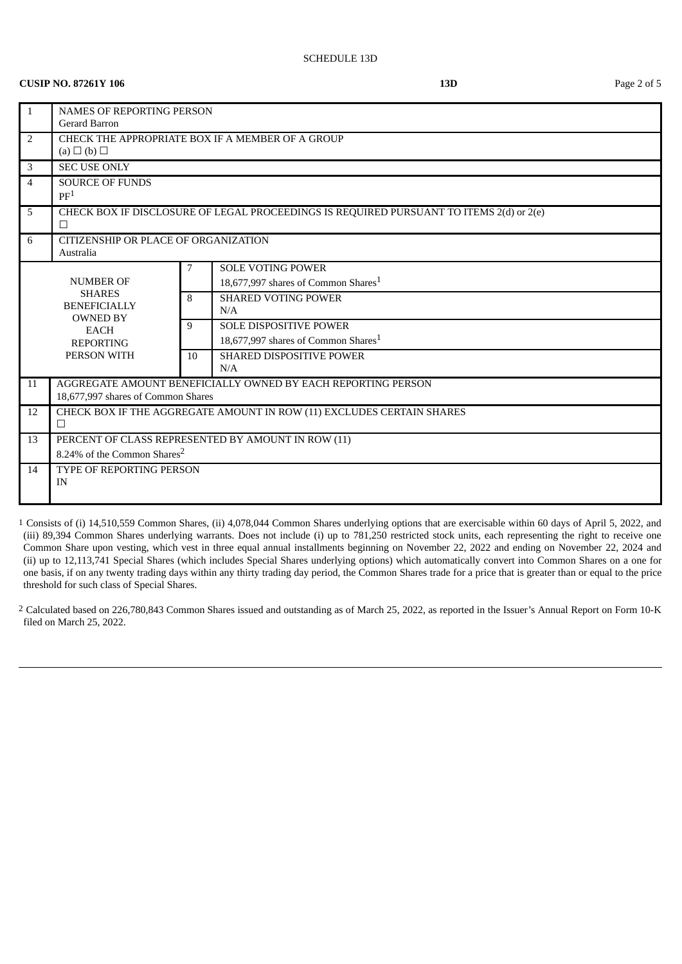# **CUSIP NO. 87261Y 106 13D** Page 2 of 5

| $\overline{1}$                                                         | <b>NAMES OF REPORTING PERSON</b><br><b>Gerard Barron</b>                                           |    |                                                 |
|------------------------------------------------------------------------|----------------------------------------------------------------------------------------------------|----|-------------------------------------------------|
| 2                                                                      | CHECK THE APPROPRIATE BOX IF A MEMBER OF A GROUP<br>(a) $\Box$ (b) $\Box$                          |    |                                                 |
| 3                                                                      | <b>SEC USE ONLY</b>                                                                                |    |                                                 |
| $\overline{4}$                                                         | <b>SOURCE OF FUNDS</b><br>PF <sup>1</sup>                                                          |    |                                                 |
| 5                                                                      | CHECK BOX IF DISCLOSURE OF LEGAL PROCEEDINGS IS REQUIRED PURSUANT TO ITEMS 2(d) or 2(e)<br>$\Box$  |    |                                                 |
| 6                                                                      | CITIZENSHIP OR PLACE OF ORGANIZATION<br>Australia                                                  |    |                                                 |
|                                                                        | <b>NUMBER OF</b>                                                                                   |    | <b>SOLE VOTING POWER</b>                        |
| <b>SHARES</b><br><b>BENEFICIALLY</b><br><b>OWNED BY</b><br><b>EACH</b> |                                                                                                    |    | 18,677,997 shares of Common Shares <sup>1</sup> |
|                                                                        |                                                                                                    | 8  | <b>SHARED VOTING POWER</b><br>N/A               |
|                                                                        |                                                                                                    | 9  | <b>SOLE DISPOSITIVE POWER</b>                   |
|                                                                        | <b>REPORTING</b>                                                                                   |    | 18.677.997 shares of Common Shares <sup>1</sup> |
| PERSON WITH                                                            |                                                                                                    | 10 | <b>SHARED DISPOSITIVE POWER</b>                 |
|                                                                        |                                                                                                    |    | N/A                                             |
| 11                                                                     | AGGREGATE AMOUNT BENEFICIALLY OWNED BY EACH REPORTING PERSON<br>18,677,997 shares of Common Shares |    |                                                 |
| 12                                                                     | CHECK BOX IF THE AGGREGATE AMOUNT IN ROW (11) EXCLUDES CERTAIN SHARES<br>$\Box$                    |    |                                                 |
| 13                                                                     | PERCENT OF CLASS REPRESENTED BY AMOUNT IN ROW (11)                                                 |    |                                                 |
|                                                                        | 8.24% of the Common Shares <sup>2</sup>                                                            |    |                                                 |
| 14                                                                     | TYPE OF REPORTING PERSON                                                                           |    |                                                 |
|                                                                        | IN                                                                                                 |    |                                                 |
|                                                                        |                                                                                                    |    |                                                 |

1 Consists of (i) 14,510,559 Common Shares, (ii) 4,078,044 Common Shares underlying options that are exercisable within 60 days of April 5, 2022, and (iii) 89,394 Common Shares underlying warrants. Does not include (i) up to 781,250 restricted stock units, each representing the right to receive one Common Share upon vesting, which vest in three equal annual installments beginning on November 22, 2022 and ending on November 22, 2024 and (ii) up to 12,113,741 Special Shares (which includes Special Shares underlying options) which automatically convert into Common Shares on a one for one basis, if on any twenty trading days within any thirty trading day period, the Common Shares trade for a price that is greater than or equal to the price threshold for such class of Special Shares.

2 Calculated based on 226,780,843 Common Shares issued and outstanding as of March 25, 2022, as reported in the Issuer's Annual Report on Form 10-K filed on March 25, 2022.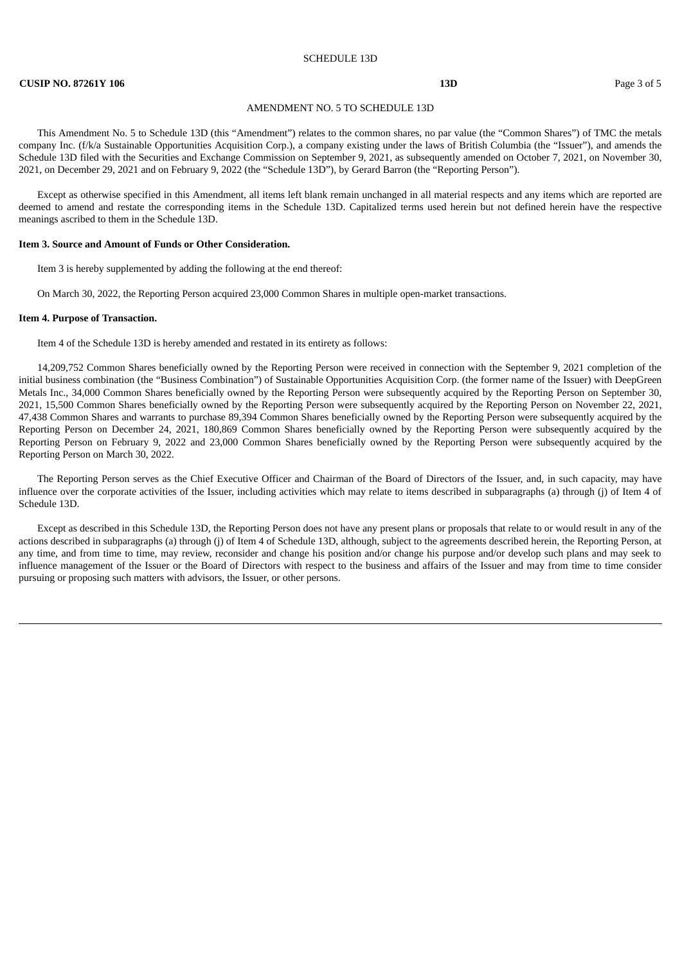#### SCHEDULE 13D

### **CUSIP NO. 87261Y 106 13D** Page 3 of 5

### AMENDMENT NO. 5 TO SCHEDULE 13D

This Amendment No. 5 to Schedule 13D (this "Amendment") relates to the common shares, no par value (the "Common Shares") of TMC the metals company Inc. (f/k/a Sustainable Opportunities Acquisition Corp.), a company existing under the laws of British Columbia (the "Issuer"), and amends the Schedule 13D filed with the Securities and Exchange Commission on September 9, 2021, as subsequently amended on October 7, 2021, on November 30, 2021, on December 29, 2021 and on February 9, 2022 (the "Schedule 13D"), by Gerard Barron (the "Reporting Person").

Except as otherwise specified in this Amendment, all items left blank remain unchanged in all material respects and any items which are reported are deemed to amend and restate the corresponding items in the Schedule 13D. Capitalized terms used herein but not defined herein have the respective meanings ascribed to them in the Schedule 13D.

### **Item 3. Source and Amount of Funds or Other Consideration.**

Item 3 is hereby supplemented by adding the following at the end thereof:

On March 30, 2022, the Reporting Person acquired 23,000 Common Shares in multiple open-market transactions.

### **Item 4. Purpose of Transaction.**

Item 4 of the Schedule 13D is hereby amended and restated in its entirety as follows:

14,209,752 Common Shares beneficially owned by the Reporting Person were received in connection with the September 9, 2021 completion of the initial business combination (the "Business Combination") of Sustainable Opportunities Acquisition Corp. (the former name of the Issuer) with DeepGreen Metals Inc., 34,000 Common Shares beneficially owned by the Reporting Person were subsequently acquired by the Reporting Person on September 30, 2021, 15,500 Common Shares beneficially owned by the Reporting Person were subsequently acquired by the Reporting Person on November 22, 2021, 47,438 Common Shares and warrants to purchase 89,394 Common Shares beneficially owned by the Reporting Person were subsequently acquired by the Reporting Person on December 24, 2021, 180,869 Common Shares beneficially owned by the Reporting Person were subsequently acquired by the Reporting Person on February 9, 2022 and 23,000 Common Shares beneficially owned by the Reporting Person were subsequently acquired by the Reporting Person on March 30, 2022.

The Reporting Person serves as the Chief Executive Officer and Chairman of the Board of Directors of the Issuer, and, in such capacity, may have influence over the corporate activities of the Issuer, including activities which may relate to items described in subparagraphs (a) through (j) of Item 4 of Schedule 13D.

Except as described in this Schedule 13D, the Reporting Person does not have any present plans or proposals that relate to or would result in any of the actions described in subparagraphs (a) through (j) of Item 4 of Schedule 13D, although, subject to the agreements described herein, the Reporting Person, at any time, and from time to time, may review, reconsider and change his position and/or change his purpose and/or develop such plans and may seek to influence management of the Issuer or the Board of Directors with respect to the business and affairs of the Issuer and may from time to time consider pursuing or proposing such matters with advisors, the Issuer, or other persons.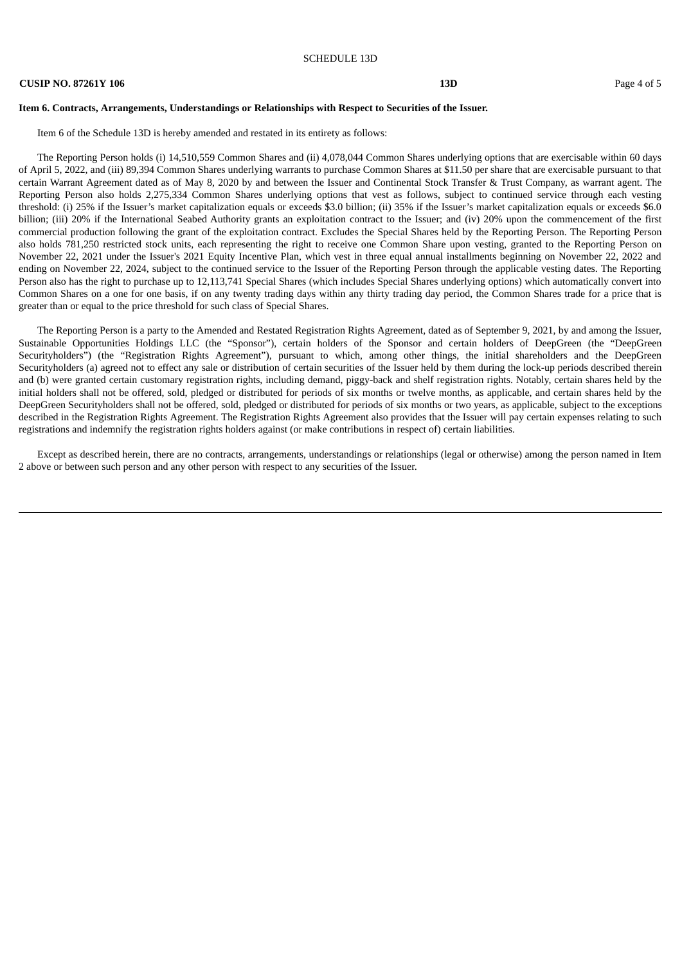### **CUSIP NO. 87261Y 106 13D** Page 4 of 5

# **Item 6. Contracts, Arrangements, Understandings or Relationships with Respect to Securities of the Issuer.**

Item 6 of the Schedule 13D is hereby amended and restated in its entirety as follows:

The Reporting Person holds (i) 14,510,559 Common Shares and (ii) 4,078,044 Common Shares underlying options that are exercisable within 60 days of April 5, 2022, and (iii) 89,394 Common Shares underlying warrants to purchase Common Shares at \$11.50 per share that are exercisable pursuant to that certain Warrant Agreement dated as of May 8, 2020 by and between the Issuer and Continental Stock Transfer & Trust Company, as warrant agent. The Reporting Person also holds 2,275,334 Common Shares underlying options that vest as follows, subject to continued service through each vesting threshold: (i) 25% if the Issuer's market capitalization equals or exceeds \$3.0 billion; (ii) 35% if the Issuer's market capitalization equals or exceeds \$6.0 billion; (iii) 20% if the International Seabed Authority grants an exploitation contract to the Issuer; and (iv) 20% upon the commencement of the first commercial production following the grant of the exploitation contract. Excludes the Special Shares held by the Reporting Person. The Reporting Person also holds 781,250 restricted stock units, each representing the right to receive one Common Share upon vesting, granted to the Reporting Person on November 22, 2021 under the Issuer's 2021 Equity Incentive Plan, which vest in three equal annual installments beginning on November 22, 2022 and ending on November 22, 2024, subject to the continued service to the Issuer of the Reporting Person through the applicable vesting dates. The Reporting Person also has the right to purchase up to 12,113,741 Special Shares (which includes Special Shares underlying options) which automatically convert into Common Shares on a one for one basis, if on any twenty trading days within any thirty trading day period, the Common Shares trade for a price that is greater than or equal to the price threshold for such class of Special Shares.

The Reporting Person is a party to the Amended and Restated Registration Rights Agreement, dated as of September 9, 2021, by and among the Issuer, Sustainable Opportunities Holdings LLC (the "Sponsor"), certain holders of the Sponsor and certain holders of DeepGreen (the "DeepGreen Securityholders") (the "Registration Rights Agreement"), pursuant to which, among other things, the initial shareholders and the DeepGreen Securityholders (a) agreed not to effect any sale or distribution of certain securities of the Issuer held by them during the lock-up periods described therein and (b) were granted certain customary registration rights, including demand, piggy-back and shelf registration rights. Notably, certain shares held by the initial holders shall not be offered, sold, pledged or distributed for periods of six months or twelve months, as applicable, and certain shares held by the DeepGreen Securityholders shall not be offered, sold, pledged or distributed for periods of six months or two years, as applicable, subject to the exceptions described in the Registration Rights Agreement. The Registration Rights Agreement also provides that the Issuer will pay certain expenses relating to such registrations and indemnify the registration rights holders against (or make contributions in respect of) certain liabilities.

Except as described herein, there are no contracts, arrangements, understandings or relationships (legal or otherwise) among the person named in Item 2 above or between such person and any other person with respect to any securities of the Issuer.